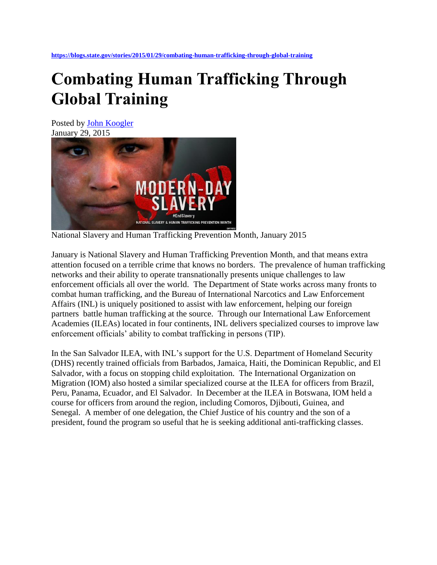## **Combating Human Trafficking Through Global Training**

Posted by [John Koogler](https://blogs.state.gov/contributors/john-koogler) January 29, 2015



National Slavery and Human Trafficking Prevention Month, January 2015

January is National Slavery and Human Trafficking Prevention Month, and that means extra attention focused on a terrible crime that knows no borders. The prevalence of human trafficking networks and their ability to operate transnationally presents unique challenges to law enforcement officials all over the world. The Department of State works across many fronts to combat human trafficking, and the Bureau of International Narcotics and Law Enforcement Affairs (INL) is uniquely positioned to assist with law enforcement, helping our foreign partners battle human trafficking at the source. Through our International Law Enforcement Academies (ILEAs) located in four continents, INL delivers specialized courses to improve law enforcement officials' ability to combat trafficking in persons (TIP).

In the San Salvador ILEA, with INL's support for the U.S. Department of Homeland Security (DHS) recently trained officials from Barbados, Jamaica, Haiti, the Dominican Republic, and El Salvador, with a focus on stopping child exploitation. The International Organization on Migration (IOM) also hosted a similar specialized course at the ILEA for officers from Brazil, Peru, Panama, Ecuador, and El Salvador. In December at the ILEA in Botswana, IOM held a course for officers from around the region, including Comoros, Djibouti, Guinea, and Senegal. A member of one delegation, the Chief Justice of his country and the son of a president, found the program so useful that he is seeking additional anti-trafficking classes.